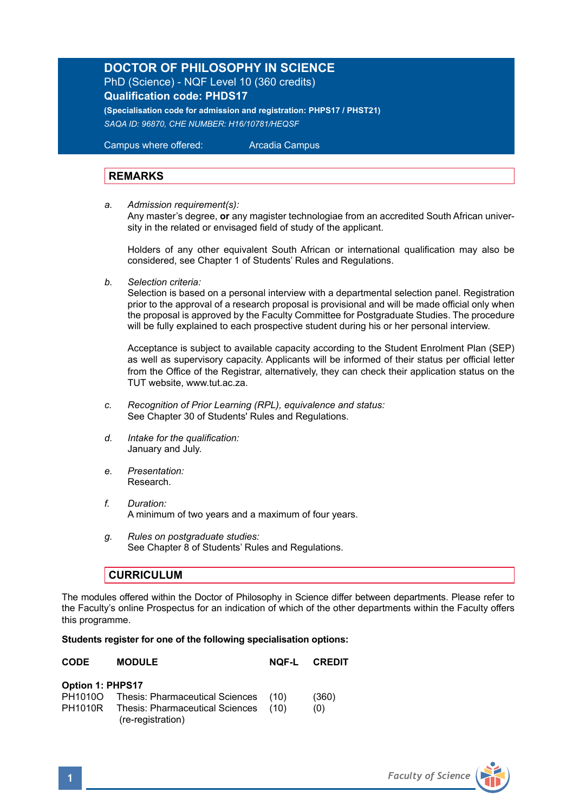## **DOCTOR OF PHILOSOPHY IN SCIENCE**  PhD (Science) - NQF Level 10 (360 credits) **Qualification code: PHDS17**

**(Specialisation code for admission and registration: PHPS17 / PHST21)** *SAQA ID: 96870, CHE NUMBER: H16/10781/HEQSF*

Campus where offered: Arcadia Campus

## **REMARKS**

*a. Admission requirement(s):* 

 Any master's degree, **or** any magister technologiae from an accredited South African univer sity in the related or envisaged field of study of the applicant.

Holders of any other equivalent South African or international qualification may also be considered, see Chapter 1 of Students' Rules and Regulations.

*b. Selection criteria:*

Selection is based on a personal interview with a departmental selection panel. Registration prior to the approval of a research proposal is provisional and will be made official only when the proposal is approved by the Faculty Committee for Postgraduate Studies. The procedure will be fully explained to each prospective student during his or her personal interview.

Acceptance is subject to available capacity according to the Student Enrolment Plan (SEP) as well as supervisory capacity. Applicants will be informed of their status per official letter from the Office of the Registrar, alternatively, they can check their application status on the TUT website, www.tut.ac.za.

- *c. Recognition of Prior Learning (RPL), equivalence and status:* See Chapter 30 of Students' Rules and Regulations.
- *d. Intake for the qualification:* January and July.
- *e. Presentation:*  Research.
- *f. Duration:* A minimum of two years and a maximum of four years.
- *g. Rules on postgraduate studies:* See Chapter 8 of Students' Rules and Regulations.

## **CURRICULUM**

(re-registration)

The modules offered within the Doctor of Philosophy in Science differ between departments. Please refer to the Faculty's online Prospectus for an indication of which of the other departments within the Faculty offers this programme.

## **Students register for one of the following specialisation options:**

| <b>CODE</b>      | <b>MODULE</b>                                | <b>NOF-L CREDIT</b> |
|------------------|----------------------------------------------|---------------------|
| Option 1: PHPS17 |                                              |                     |
|                  | PH1010O Thesis: Pharmaceutical Sciences (10) | (360)               |
|                  | PH1010R Thesis: Pharmaceutical Sciences (10) | (0)                 |

**1** *Faculty of Science*